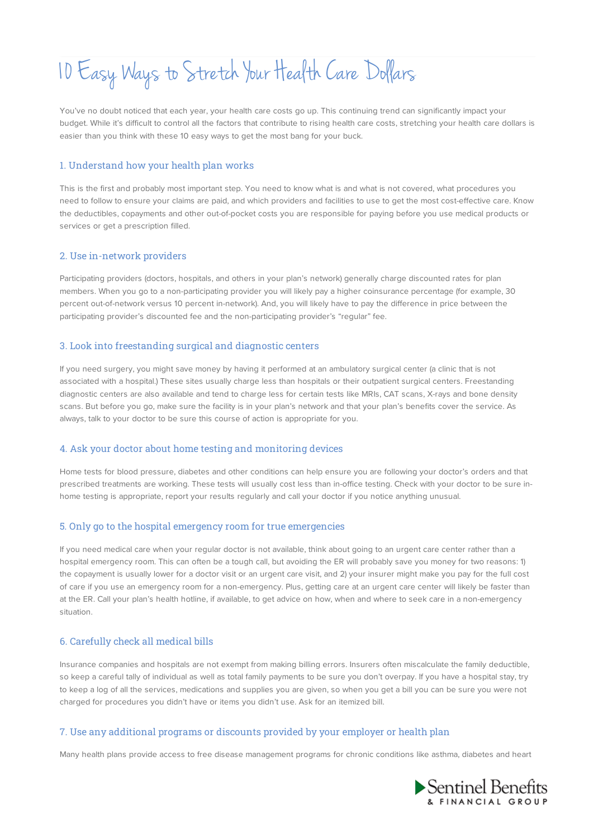# 10 Easy Ways to Stretch Your HealthCare Dollars

You've no doubt noticed that each year, your health care costs go up. This continuing trend can significantly impact your budget. While it's difficult to control all the factors that contribute to rising health care costs, stretching your health care dollars is easier than you think with these 10 easy ways to get the most bang for your buck.

## 1. Understand how your health plan works

This is the first and probably most important step. You need to know what is and what is not covered, what procedures you need to follow to ensure your claims are paid, and which providers and facilities to use to get the most cost-effective care. Know the deductibles, copayments and other out-of-pocket costs you are responsible for paying before you use medical products or services or get a prescription filled.

# 2. Use in-network providers

Participating providers (doctors, hospitals, and others in your plan's network) generally charge discounted rates for plan members. When you go to a non-participating provider you will likely pay a higher coinsurance percentage (for example, 30 percent out-of-network versus 10 percent in-network). And, you will likely have to pay the difference in price between the participating provider's discounted fee and the non-participating provider's "regular" fee.

## 3. Look into freestanding surgical and diagnostic centers

If you need surgery, you might save money by having it performed at an ambulatory surgical center (a clinic that is not associated with a hospital.) These sites usually charge less than hospitals or their outpatient surgical centers. Freestanding diagnostic centers are also available and tend to charge less for certain tests like MRIs, CAT scans, X-rays and bone density scans. But before you go, make sure the facility is in your plan's network and that your plan's benefits cover the service. As always, talk to your doctor to be sure this course of action is appropriate for you.

# 4. Ask your doctor about home testing and monitoring devices

Home tests for blood pressure, diabetes and other conditions can help ensure you are following your doctor's orders and that prescribed treatments are working. These tests will usually cost less than in-office testing. Check with your doctor to be sure inhome testing is appropriate, report your results regularly and call your doctor if you notice anything unusual.

# 5. Only go to the hospital emergency room for true emergencies

If you need medical care when your regular doctor is not available, think about going to an urgent care center rather than a hospital emergency room. This can often be a tough call, but avoiding the ER will probably save you money for two reasons: 1) the copayment is usually lower for a doctor visit or an urgent care visit, and 2) your insurer might make you pay for the full cost of care if you use an emergency room for a non-emergency. Plus, getting care at an urgent care center will likely be faster than at the ER. Call your plan's health hotline, if available, to get advice on how, when and where to seek care in a non-emergency situation.

#### 6. Carefully check all medical bills

Insurance companies and hospitals are not exempt from making billing errors. Insurers often miscalculate the family deductible, so keep a careful tally of individual as well as total family payments to be sure you don't overpay. If you have a hospital stay, try to keep a log of all the services, medications and supplies you are given, so when you get a bill you can be sure you were not charged for procedures you didn't have or items you didn't use. Ask for an itemized bill.

# 7. Use any additional programs or discounts provided by your employer or health plan

Many health plans provide access to free disease management programs for chronic conditions like asthma, diabetes and heart